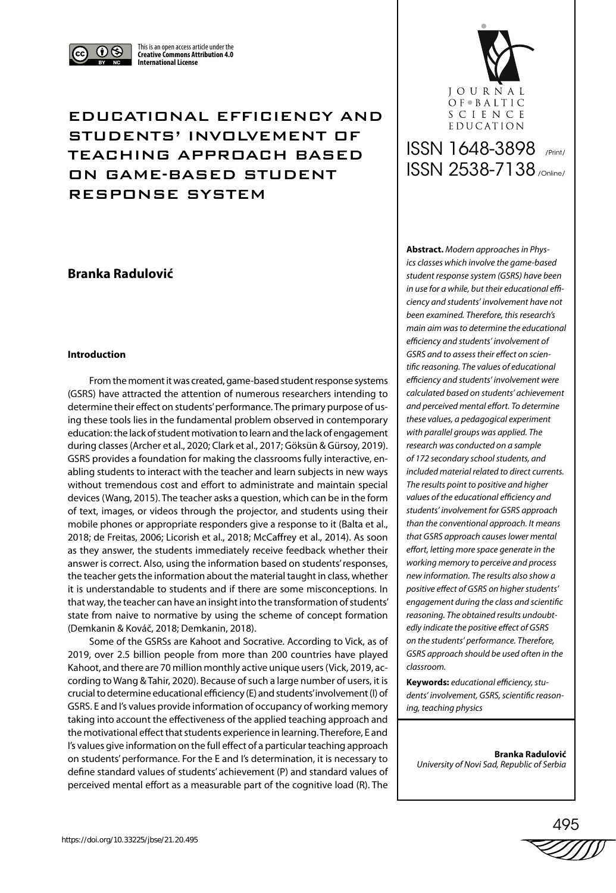

This is an open access article under the **Creative Commons Attribution 4.0 International License**

## EDUCATIONAL EFFICIENCY AND STUDENTS' INVOLVEMENT OF TEACHING APPROACH BASED ON GAME-BASED STUDENT RESPONSE SYSTEM

## **Branka Radulović**

#### **Introduction**

From the moment it was created, game-based student response systems (GSRS) have attracted the attention of numerous researchers intending to determine their effect on students' performance. The primary purpose of using these tools lies in the fundamental problem observed in contemporary education: the lack of student motivation to learn and the lack of engagement during classes (Archer et al., 2020; Clark et al., 2017; Göksün & Gürsoy, 2019). GSRS provides a foundation for making the classrooms fully interactive, enabling students to interact with the teacher and learn subjects in new ways without tremendous cost and effort to administrate and maintain special devices (Wang, 2015). The teacher asks a question, which can be in the form of text, images, or videos through the projector, and students using their mobile phones or appropriate responders give a response to it (Balta et al., 2018; de Freitas, 2006; Licorish et al., 2018; McCaffrey et al., 2014). As soon as they answer, the students immediately receive feedback whether their answer is correct. Also, using the information based on students' responses, the teacher gets the information about the material taught in class, whether it is understandable to students and if there are some misconceptions. In that way, the teacher can have an insight into the transformation of students' state from naive to normative by using the scheme of concept formation (Demkanin & Kováč, 2018; Demkanin, 2018).

Some of the GSRSs are Kahoot and Socrative. According to Vick, as of 2019, over 2.5 billion people from more than 200 countries have played Kahoot, and there are 70 million monthly active unique users (Vick, 2019, according to Wang & Tahir, 2020). Because of such a large number of users, it is crucial to determine educational efficiency (E) and students' involvement (I) of GSRS. E and I's values provide information of occupancy of working memory taking into account the effectiveness of the applied teaching approach and the motivational effect that students experience in learning. Therefore, E and I's values give information on the full effect of a particular teaching approach on students' performance. For the E and I's determination, it is necessary to define standard values of students' achievement (P) and standard values of perceived mental effort as a measurable part of the cognitive load (R). The



# ISSN 1648-3898 /Print/ ISSN 2538-7138 /Online/

**Abstract.** *Modern approaches in Physics classes which involve the game-based student response system (GSRS) have been in use for a while, but their educational efficiency and students' involvement have not been examined. Therefore, this research's main aim was to determine the educational efficiency and students' involvement of GSRS and to assess their effect on scientific reasoning. The values of educational efficiency and students' involvement were calculated based on students' achievement and perceived mental effort. To determine these values, a pedagogical experiment with parallel groups was applied. The research was conducted on a sample of 172 secondary school students, and included material related to direct currents. The results point to positive and higher values of the educational efficiency and students' involvement for GSRS approach than the conventional approach. It means that GSRS approach causes lower mental effort, letting more space generate in the working memory to perceive and process new information. The results also show a positive effect of GSRS on higher students' engagement during the class and scientific reasoning. The obtained results undoubtedly indicate the positive effect of GSRS on the students' performance. Therefore, GSRS approach should be used often in the classroom.* 

**Keywords:** *educational efficiency, students' involvement, GSRS, scientific reasoning, teaching physics* 

**Branka Radulović** *University of Novi Sad, Republic of Serbia*

495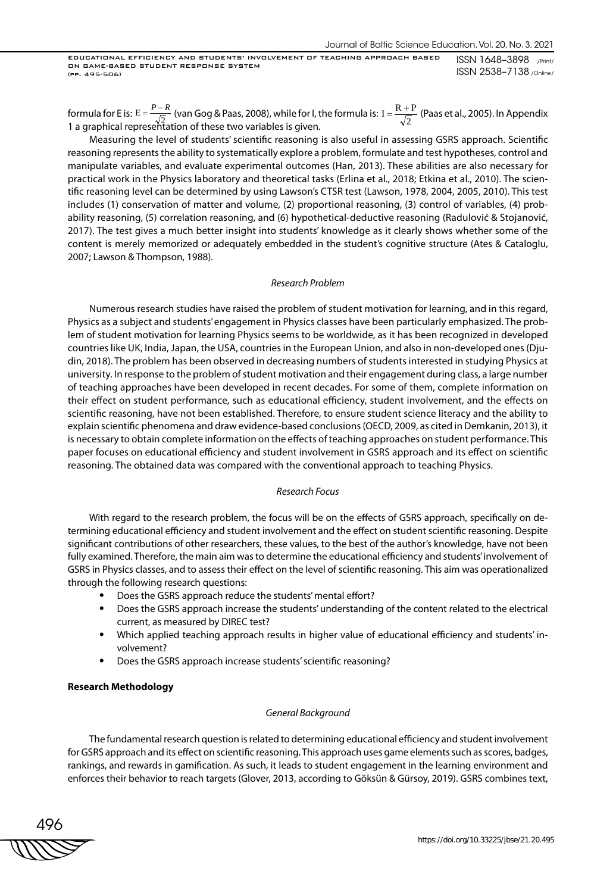formula for E is:  $E = \frac{P-R}{\sqrt{2}}$  (van Gog & Paas, 2008), while for I, the formula is: I =  $\frac{R+P}{\sqrt{2}}$  (Paas et al., 2005). In Appendix<br>1.a graphical representation of these two variables is given 1 a graphical representation of these two variables is given.

Measuring the level of students' scientific reasoning is also useful in assessing GSRS approach. Scientific reasoning represents the ability to systematically explore a problem, formulate and test hypotheses, control and manipulate variables, and evaluate experimental outcomes (Han, 2013). These abilities are also necessary for practical work in the Physics laboratory and theoretical tasks (Erlina et al., 2018; Etkina et al., 2010). The scientific reasoning level can be determined by using Lawson's CTSR test (Lawson, 1978, 2004, 2005, 2010). This test includes (1) conservation of matter and volume, (2) proportional reasoning, (3) control of variables, (4) probability reasoning, (5) correlation reasoning, and (6) hypothetical-deductive reasoning (Radulović & Stojanović, 2017). The test gives a much better insight into students' knowledge as it clearly shows whether some of the content is merely memorized or adequately embedded in the student's cognitive structure (Ates & Cataloglu, 2007; Lawson & Thompson, 1988).

#### *Research Problem*

Numerous research studies have raised the problem of student motivation for learning, and in this regard, Physics as a subject and students' engagement in Physics classes have been particularly emphasized. The problem of student motivation for learning Physics seems to be worldwide, as it has been recognized in developed countries like UK, India, Japan, the USA, countries in the European Union, and also in non-developed ones (Djudin, 2018). The problem has been observed in decreasing numbers of students interested in studying Physics at university. In response to the problem of student motivation and their engagement during class, a large number of teaching approaches have been developed in recent decades. For some of them, complete information on their effect on student performance, such as educational efficiency, student involvement, and the effects on scientific reasoning, have not been established. Therefore, to ensure student science literacy and the ability to explain scientific phenomena and draw evidence-based conclusions (OECD, 2009, as cited in Demkanin, 2013), it is necessary to obtain complete information on the effects of teaching approaches on student performance. This paper focuses on educational efficiency and student involvement in GSRS approach and its effect on scientific reasoning. The obtained data was compared with the conventional approach to teaching Physics.

#### *Research Focus*

With regard to the research problem, the focus will be on the effects of GSRS approach, specifically on determining educational efficiency and student involvement and the effect on student scientific reasoning. Despite significant contributions of other researchers, these values, to the best of the author's knowledge, have not been fully examined. Therefore, the main aim was to determine the educational efficiency and students' involvement of GSRS in Physics classes, and to assess their effect on the level of scientific reasoning. This aim was operationalized through the following research questions:

- Does the GSRS approach reduce the students' mental effort?
- Does the GSRS approach increase the students' understanding of the content related to the electrical current, as measured by DIREC test?
- Which applied teaching approach results in higher value of educational efficiency and students' involvement?
- Does the GSRS approach increase students' scientific reasoning?

#### **Research Methodology**

#### *General Background*

The fundamental research question is related to determining educational efficiency and student involvement for GSRS approach and its effect on scientific reasoning. This approach uses game elements such as scores, badges, rankings, and rewards in gamification. As such, it leads to student engagement in the learning environment and enforces their behavior to reach targets (Glover, 2013, according to Göksün & Gürsoy, 2019). GSRS combines text,

496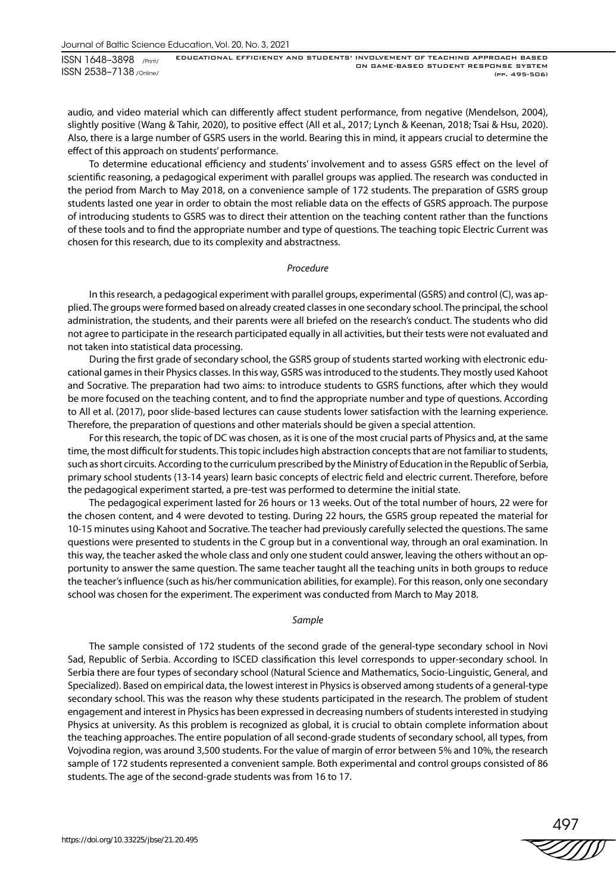audio, and video material which can differently affect student performance, from negative (Mendelson, 2004), slightly positive (Wang & Tahir, 2020), to positive effect (All et al., 2017; Lynch & Keenan, 2018; Tsai & Hsu, 2020). Also, there is a large number of GSRS users in the world. Bearing this in mind, it appears crucial to determine the effect of this approach on students' performance.

To determine educational efficiency and students' involvement and to assess GSRS effect on the level of scientific reasoning, a pedagogical experiment with parallel groups was applied. The research was conducted in the period from March to May 2018, on a convenience sample of 172 students. The preparation of GSRS group students lasted one year in order to obtain the most reliable data on the effects of GSRS approach. The purpose of introducing students to GSRS was to direct their attention on the teaching content rather than the functions of these tools and to find the appropriate number and type of questions. The teaching topic Electric Current was chosen for this research, due to its complexity and abstractness.

#### *Procedure*

In this research, a pedagogical experiment with parallel groups, experimental (GSRS) and control (C), was applied. The groups were formed based on already created classes in one secondary school. The principal, the school administration, the students, and their parents were all briefed on the research's conduct. The students who did not agree to participate in the research participated equally in all activities, but their tests were not evaluated and not taken into statistical data processing.

During the first grade of secondary school, the GSRS group of students started working with electronic educational games in their Physics classes. In this way, GSRS was introduced to the students. They mostly used Kahoot and Socrative. The preparation had two aims: to introduce students to GSRS functions, after which they would be more focused on the teaching content, and to find the appropriate number and type of questions. According to All et al. (2017), poor slide-based lectures can cause students lower satisfaction with the learning experience. Therefore, the preparation of questions and other materials should be given a special attention.

For this research, the topic of DC was chosen, as it is one of the most crucial parts of Physics and, at the same time, the most difficult for students. This topic includes high abstraction concepts that are not familiar to students, such as short circuits. According to the curriculum prescribed by the Ministry of Education in the Republic of Serbia, primary school students (13-14 years) learn basic concepts of electric field and electric current. Therefore, before the pedagogical experiment started, a pre-test was performed to determine the initial state.

The pedagogical experiment lasted for 26 hours or 13 weeks. Out of the total number of hours, 22 were for the chosen content, and 4 were devoted to testing. During 22 hours, the GSRS group repeated the material for 10-15 minutes using Kahoot and Socrative. The teacher had previously carefully selected the questions. The same questions were presented to students in the C group but in a conventional way, through an oral examination. In this way, the teacher asked the whole class and only one student could answer, leaving the others without an opportunity to answer the same question. The same teacher taught all the teaching units in both groups to reduce the teacher's influence (such as his/her communication abilities, for example). For this reason, only one secondary school was chosen for the experiment. The experiment was conducted from March to May 2018.

#### *Sample*

The sample consisted of 172 students of the second grade of the general-type secondary school in Novi Sad, Republic of Serbia. According to ISCED classification this level corresponds to upper-secondary school. In Serbia there are four types of secondary school (Natural Science and Mathematics, Socio-Linguistic, General, and Specialized). Based on empirical data, the lowest interest in Physics is observed among students of a general-type secondary school. This was the reason why these students participated in the research. The problem of student engagement and interest in Physics has been expressed in decreasing numbers of students interested in studying Physics at university. As this problem is recognized as global, it is crucial to obtain complete information about the teaching approaches. The entire population of all second-grade students of secondary school, all types, from Vojvodina region, was around 3,500 students. For the value of margin of error between 5% and 10%, the research sample of 172 students represented a convenient sample. Both experimental and control groups consisted of 86 students. The age of the second-grade students was from 16 to 17.

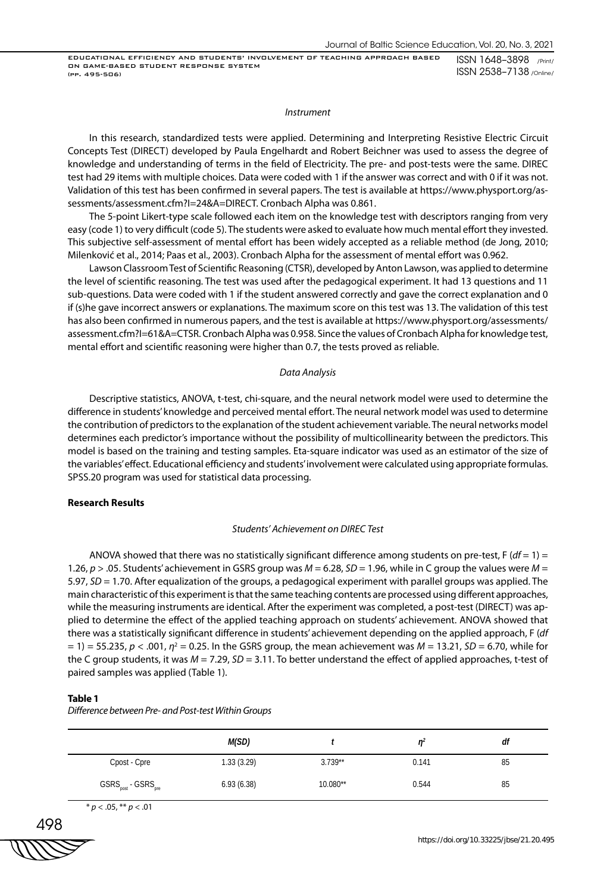#### *Instrument*

In this research, standardized tests were applied. Determining and Interpreting Resistive Electric Circuit Concepts Test (DIRECT) developed by Paula Engelhardt and Robert Beichner was used to assess the degree of knowledge and understanding of terms in the field of Electricity. The pre- and post-tests were the same. DIREC test had 29 items with multiple choices. Data were coded with 1 if the answer was correct and with 0 if it was not. Validation of this test has been confirmed in several papers. The test is available at https://www.physport.org/assessments/assessment.cfm?I=24&A=DIRECT. Cronbach Alpha was 0.861.

The 5-point Likert-type scale followed each item on the knowledge test with descriptors ranging from very easy (code 1) to very difficult (code 5). The students were asked to evaluate how much mental effort they invested. This subjective self-assessment of mental effort has been widely accepted as a reliable method (de Jong, 2010; Milenković et al., 2014; Paas et al., 2003). Cronbach Alpha for the assessment of mental effort was 0.962.

Lawson Classroom Test of Scientific Reasoning (CTSR), developed by Anton Lawson, was applied to determine the level of scientific reasoning. The test was used after the pedagogical experiment. It had 13 questions and 11 sub-questions. Data were coded with 1 if the student answered correctly and gave the correct explanation and 0 if (s)he gave incorrect answers or explanations. The maximum score on this test was 13. The validation of this test has also been confirmed in numerous papers, and the test is available at https://www.physport.org/assessments/ assessment.cfm?I=61&A=CTSR. Cronbach Alpha was 0.958. Since the values of Cronbach Alpha for knowledge test, mental effort and scientific reasoning were higher than 0.7, the tests proved as reliable.

#### *Data Analysis*

Descriptive statistics, ANOVA, t-test, chi-square, and the neural network model were used to determine the difference in students' knowledge and perceived mental effort. The neural network model was used to determine the contribution of predictors to the explanation of the student achievement variable. The neural networks model determines each predictor's importance without the possibility of multicollinearity between the predictors. This model is based on the training and testing samples. Eta-square indicator was used as an estimator of the size of the variables' effect. Educational efficiency and students' involvement were calculated using appropriate formulas. SPSS.20 program was used for statistical data processing.

#### **Research Results**

#### *Students' Achievement on DIREC Test*

ANOVA showed that there was no statistically significant difference among students on pre-test, F (*df* = 1) = 1.26, *p* > .05. Students' achievement in GSRS group was *M* = 6.28, *SD* = 1.96, while in C group the values were *M* = 5.97, *SD* = 1.70. After equalization of the groups, a pedagogical experiment with parallel groups was applied. The main characteristic of this experiment is that the same teaching contents are processed using different approaches, while the measuring instruments are identical. After the experiment was completed, a post-test (DIRECT) was applied to determine the effect of the applied teaching approach on students' achievement. ANOVA showed that there was a statistically significant difference in students' achievement depending on the applied approach, F (*df*  $=$  1)  $=$  55.235,  $p$  < .001,  $\eta$ <sup>2</sup> = 0.25. In the GSRS group, the mean achievement was  $M$  = 13.21, *SD* = 6.70, while for the C group students, it was *M* = 7.29, *SD* = 3.11. To better understand the effect of applied approaches, t-test of paired samples was applied (Table 1).

#### **Table 1**

*Difference between Pre- and Post-test Within Groups*

|                                                              | M(SD)       |           | 'n    | df |
|--------------------------------------------------------------|-------------|-----------|-------|----|
| Cpost - Cpre                                                 | 1.33 (3.29) | $3.739**$ | 0.141 | 85 |
| $\mathsf{GSRS}_{\text{post}}$ - $\mathsf{GSRS}_{\text{pre}}$ | 6.93(6.38)  | 10.080**  | 0.544 | 85 |

\* *p* < .05, \*\* *p* < .01

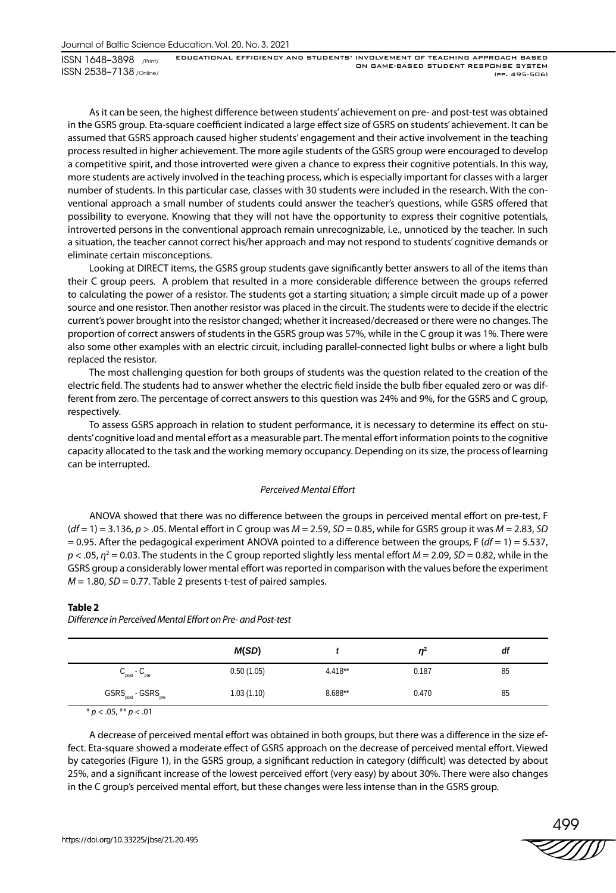As it can be seen, the highest difference between students' achievement on pre- and post-test was obtained in the GSRS group. Eta-square coefficient indicated a large effect size of GSRS on students' achievement. It can be assumed that GSRS approach caused higher students' engagement and their active involvement in the teaching process resulted in higher achievement. The more agile students of the GSRS group were encouraged to develop a competitive spirit, and those introverted were given a chance to express their cognitive potentials. In this way, more students are actively involved in the teaching process, which is especially important for classes with a larger number of students. In this particular case, classes with 30 students were included in the research. With the conventional approach a small number of students could answer the teacher's questions, while GSRS offered that possibility to everyone. Knowing that they will not have the opportunity to express their cognitive potentials, introverted persons in the conventional approach remain unrecognizable, i.e., unnoticed by the teacher. In such a situation, the teacher cannot correct his/her approach and may not respond to students' cognitive demands or eliminate certain misconceptions.

Looking at DIRECT items, the GSRS group students gave significantly better answers to all of the items than their C group peers. A problem that resulted in a more considerable difference between the groups referred to calculating the power of a resistor. The students got a starting situation; a simple circuit made up of a power source and one resistor. Then another resistor was placed in the circuit. The students were to decide if the electric current's power brought into the resistor changed; whether it increased/decreased or there were no changes. The proportion of correct answers of students in the GSRS group was 57%, while in the C group it was 1%. There were also some other examples with an electric circuit, including parallel-connected light bulbs or where a light bulb replaced the resistor.

The most challenging question for both groups of students was the question related to the creation of the electric field. The students had to answer whether the electric field inside the bulb fiber equaled zero or was different from zero. The percentage of correct answers to this question was 24% and 9%, for the GSRS and C group, respectively.

To assess GSRS approach in relation to student performance, it is necessary to determine its effect on students' cognitive load and mental effort as a measurable part. The mental effort information points to the cognitive capacity allocated to the task and the working memory occupancy. Depending on its size, the process of learning can be interrupted.

#### *Perceived Mental Effort*

ANOVA showed that there was no difference between the groups in perceived mental effort on pre-test, F (*df* = 1) = 3.136, *p* > .05. Mental effort in C group was *M* = 2.59, *SD* = 0.85, while for GSRS group it was *M* = 2.83, *SD*  $= 0.95$ . After the pedagogical experiment ANOVA pointed to a difference between the groups,  $F (df = 1) = 5.537$ ,  $p$  < .05,  $\eta^2$  = 0.03. The students in the C group reported slightly less mental effort *M* = 2.09, *SD* = 0.82, while in the GSRS group a considerably lower mental effort was reported in comparison with the values before the experiment  $M = 1.80$ ,  $SD = 0.77$ . Table 2 presents t-test of paired samples.

#### **Table 2**

*Difference in Perceived Mental Effort on Pre- and Post-test*

|                                                              | M(SD)      |           | $n^2$ | df |
|--------------------------------------------------------------|------------|-----------|-------|----|
| $C_{\text{post}}$ - $C_{\text{pre}}$                         | 0.50(1.05) | $4.418**$ | 0.187 | 85 |
| $\mathsf{GSRS}_{\text{post}}$ - $\mathsf{GSRS}_{\text{pre}}$ | 1.03(1.10) | $8.688**$ | 0.470 | 85 |

\* *p* < .05, \*\* *p* < .01

A decrease of perceived mental effort was obtained in both groups, but there was a difference in the size effect. Eta-square showed a moderate effect of GSRS approach on the decrease of perceived mental effort. Viewed by categories (Figure 1), in the GSRS group, a significant reduction in category (difficult) was detected by about 25%, and a significant increase of the lowest perceived effort (very easy) by about 30%. There were also changes in the C group's perceived mental effort, but these changes were less intense than in the GSRS group.

499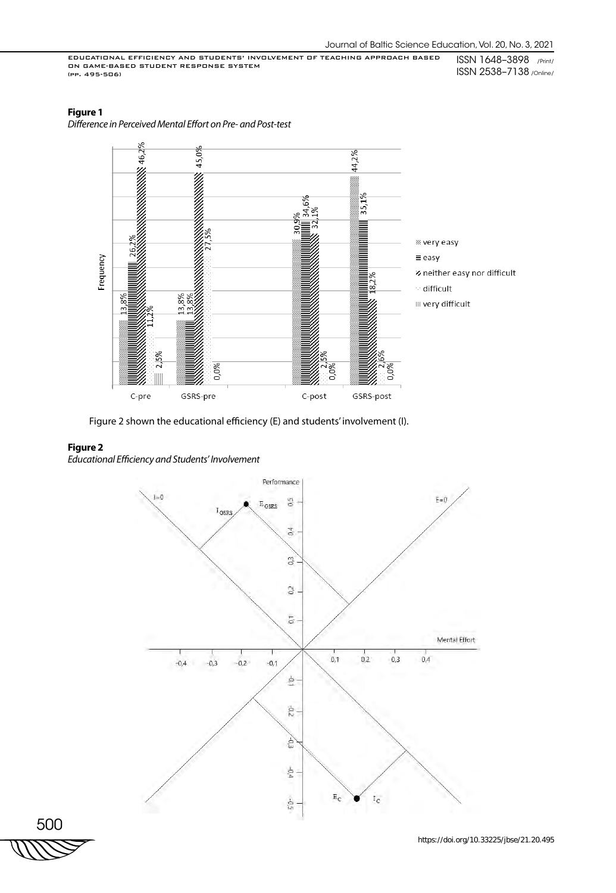## **Figure 1**

*Difference in Perceived Mental Effort on Pre- and Post-test*



Figure 2 shown the educational efficiency (E) and students' involvement (I).

## **Figure 2**

*Educational Efficiency and Students' Involvement*



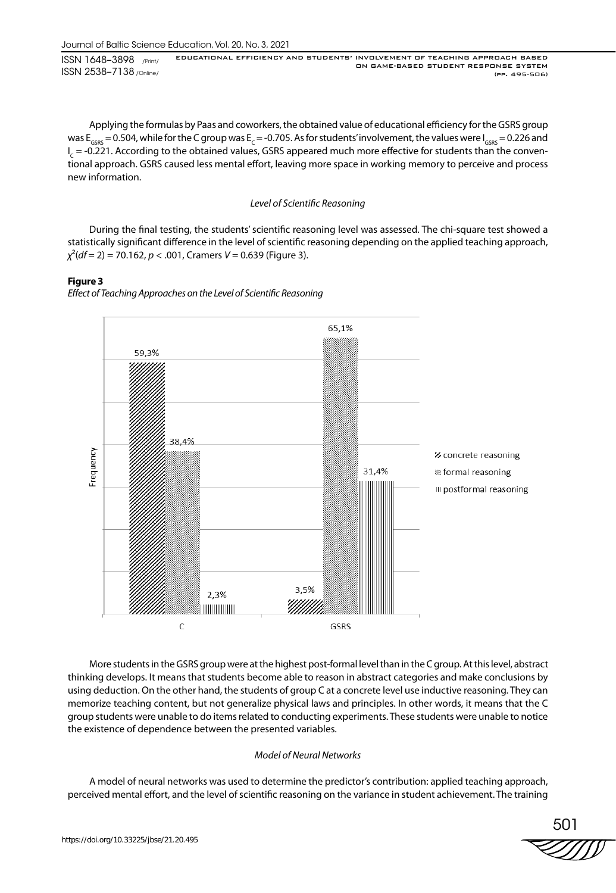Applying the formulas by Paas and coworkers, the obtained value of educational efficiency for the GSRS group was  $E_{GSPS} = 0.504$ , while for the C group was  $E_c = -0.705$ . As for students' involvement, the values were  $I_{GSPS} = 0.226$  and I<sub>c</sub> = -0.221. According to the obtained values, GSRS appeared much more effective for students than the conventional approach. GSRS caused less mental effort, leaving more space in working memory to perceive and process new information.

## *Level of Scientific Reasoning*

During the final testing, the students' scientific reasoning level was assessed. The chi-square test showed a statistically significant difference in the level of scientific reasoning depending on the applied teaching approach, *χ*²(*df* = 2) = 70.162, *p* < .001, Cramers *V* = 0.639 (Figure 3).

## **Figure 3**

*Effect of Teaching Approaches on the Level of Scientific Reasoning*



More students in the GSRS group were at the highest post-formal level than in the C group. At this level, abstract thinking develops. It means that students become able to reason in abstract categories and make conclusions by using deduction. On the other hand, the students of group C at a concrete level use inductive reasoning. They can memorize teaching content, but not generalize physical laws and principles. In other words, it means that the C group students were unable to do items related to conducting experiments. These students were unable to notice the existence of dependence between the presented variables.

## *Model of Neural Networks*

A model of neural networks was used to determine the predictor's contribution: applied teaching approach, perceived mental effort, and the level of scientific reasoning on the variance in student achievement. The training

$$
\stackrel{501}{\text{201}}
$$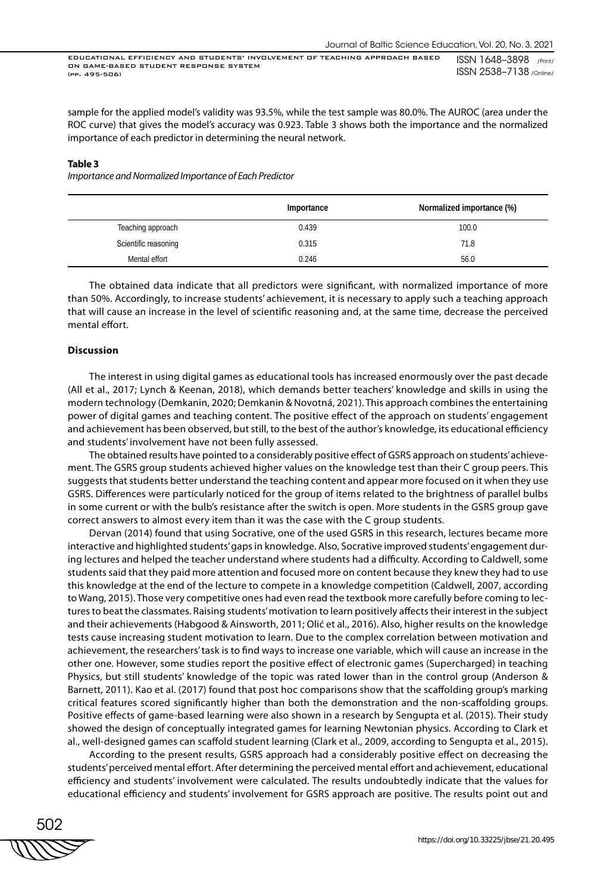sample for the applied model's validity was 93.5%, while the test sample was 80.0%. The AUROC (area under the ROC curve) that gives the model's accuracy was 0.923. Table 3 shows both the importance and the normalized importance of each predictor in determining the neural network.

#### **Table 3**

*Importance and Normalized Importance of Each Predictor*

|                      | Importance | Normalized importance (%) |
|----------------------|------------|---------------------------|
| Teaching approach    | 0.439      | 100.0                     |
| Scientific reasoning | 0.315      | 71.8                      |
| Mental effort        | 0.246      | 56.0                      |

The obtained data indicate that all predictors were significant, with normalized importance of more than 50%. Accordingly, to increase students' achievement, it is necessary to apply such a teaching approach that will cause an increase in the level of scientific reasoning and, at the same time, decrease the perceived mental effort.

#### **Discussion**

The interest in using digital games as educational tools has increased enormously over the past decade (All et al., 2017; Lynch & Keenan, 2018), which demands better teachers' knowledge and skills in using the modern technology (Demkanin, 2020; Demkanin & Novotná, 2021). This approach combines the entertaining power of digital games and teaching content. The positive effect of the approach on students' engagement and achievement has been observed, but still, to the best of the author's knowledge, its educational efficiency and students' involvement have not been fully assessed.

The obtained results have pointed to a considerably positive effect of GSRS approach on students' achievement. The GSRS group students achieved higher values on the knowledge test than their C group peers. This suggests that students better understand the teaching content and appear more focused on it when they use GSRS. Differences were particularly noticed for the group of items related to the brightness of parallel bulbs in some current or with the bulb's resistance after the switch is open. More students in the GSRS group gave correct answers to almost every item than it was the case with the C group students.

Dervan (2014) found that using Socrative, one of the used GSRS in this research, lectures became more interactive and highlighted students' gaps in knowledge. Also, Socrative improved students' engagement during lectures and helped the teacher understand where students had a difficulty. According to Caldwell, some students said that they paid more attention and focused more on content because they knew they had to use this knowledge at the end of the lecture to compete in a knowledge competition (Caldwell, 2007, according to Wang, 2015). Those very competitive ones had even read the textbook more carefully before coming to lectures to beat the classmates. Raising students' motivation to learn positively affects their interest in the subject and their achievements (Habgood & Ainsworth, 2011; Olić et al., 2016). Also, higher results on the knowledge tests cause increasing student motivation to learn. Due to the complex correlation between motivation and achievement, the researchers' task is to find ways to increase one variable, which will cause an increase in the other one. However, some studies report the positive effect of electronic games (Supercharged) in teaching Physics, but still students' knowledge of the topic was rated lower than in the control group (Anderson & Barnett, 2011). Kao et al. (2017) found that post hoc comparisons show that the scaffolding group's marking critical features scored significantly higher than both the demonstration and the non-scaffolding groups. Positive effects of game-based learning were also shown in a research by Sengupta et al. (2015). Their study showed the design of conceptually integrated games for learning Newtonian physics. According to Clark et al., well-designed games can scaffold student learning (Clark et al., 2009, according to Sengupta et al., 2015).

According to the present results, GSRS approach had a considerably positive effect on decreasing the students' perceived mental effort. After determining the perceived mental effort and achievement, educational efficiency and students' involvement were calculated. The results undoubtedly indicate that the values for educational efficiency and students' involvement for GSRS approach are positive. The results point out and

502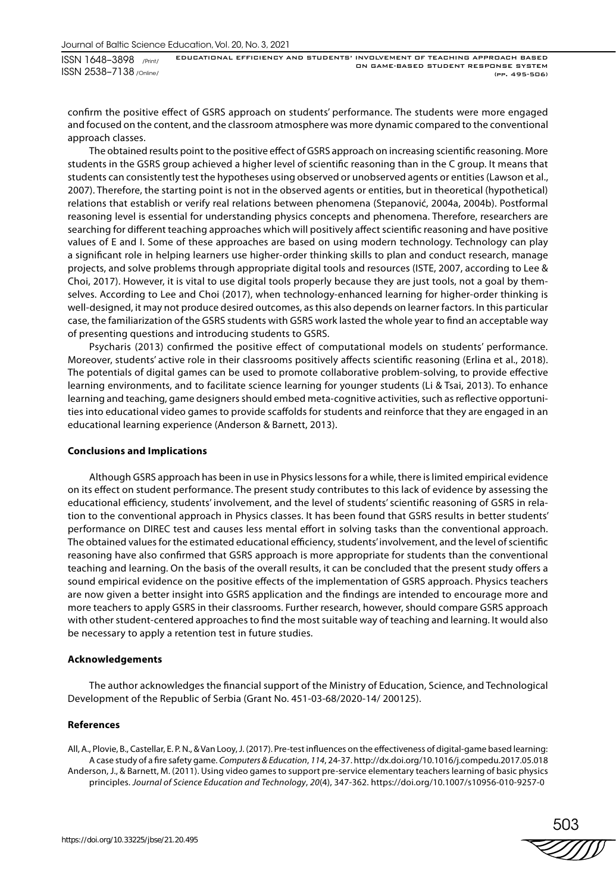confirm the positive effect of GSRS approach on students' performance. The students were more engaged and focused on the content, and the classroom atmosphere was more dynamic compared to the conventional approach classes.

The obtained results point to the positive effect of GSRS approach on increasing scientific reasoning. More students in the GSRS group achieved a higher level of scientific reasoning than in the C group. It means that students can consistently test the hypotheses using observed or unobserved agents or entities (Lawson et al., 2007). Therefore, the starting point is not in the observed agents or entities, but in theoretical (hypothetical) relations that establish or verify real relations between phenomena (Stepanović, 2004a, 2004b). Postformal reasoning level is essential for understanding physics concepts and phenomena. Therefore, researchers are searching for different teaching approaches which will positively affect scientific reasoning and have positive values of E and I. Some of these approaches are based on using modern technology. Technology can play a significant role in helping learners use higher-order thinking skills to plan and conduct research, manage projects, and solve problems through appropriate digital tools and resources (ISTE, 2007, according to Lee & Choi, 2017). However, it is vital to use digital tools properly because they are just tools, not a goal by themselves. According to Lee and Choi (2017), when technology-enhanced learning for higher-order thinking is well-designed, it may not produce desired outcomes, as this also depends on learner factors. In this particular case, the familiarization of the GSRS students with GSRS work lasted the whole year to find an acceptable way of presenting questions and introducing students to GSRS.

Psycharis (2013) confirmed the positive effect of computational models on students' performance. Moreover, students' active role in their classrooms positively affects scientific reasoning (Erlina et al., 2018). The potentials of digital games can be used to promote collaborative problem-solving, to provide effective learning environments, and to facilitate science learning for younger students (Li & Tsai, 2013). To enhance learning and teaching, game designers should embed meta-cognitive activities, such as reflective opportunities into educational video games to provide scaffolds for students and reinforce that they are engaged in an educational learning experience (Anderson & Barnett, 2013).

#### **Conclusions and Implications**

Although GSRS approach has been in use in Physics lessons for a while, there is limited empirical evidence on its effect on student performance. The present study contributes to this lack of evidence by assessing the educational efficiency, students' involvement, and the level of students' scientific reasoning of GSRS in relation to the conventional approach in Physics classes. It has been found that GSRS results in better students' performance on DIREC test and causes less mental effort in solving tasks than the conventional approach. The obtained values for the estimated educational efficiency, students' involvement, and the level of scientific reasoning have also confirmed that GSRS approach is more appropriate for students than the conventional teaching and learning. On the basis of the overall results, it can be concluded that the present study offers a sound empirical evidence on the positive effects of the implementation of GSRS approach. Physics teachers are now given a better insight into GSRS application and the findings are intended to encourage more and more teachers to apply GSRS in their classrooms. Further research, however, should compare GSRS approach with other student-centered approaches to find the most suitable way of teaching and learning. It would also be necessary to apply a retention test in future studies.

#### **Acknowledgements**

The author acknowledges the financial support of the Ministry of Education, Science, and Technological Development of the Republic of Serbia (Grant No. 451-03-68/2020-14/ 200125).

#### **References**

All, A., Plovie, B., Castellar, E. P. N., & Van Looy, J. (2017). Pre-test influences on the effectiveness of digital-game based learning: A case study of a fire safety game. *Computers & Education*, *114*, 24-37. http://dx.doi.org/10.1016/j.compedu.2017.05.018 Anderson, J., & Barnett, M. (2011). Using video games to support pre-service elementary teachers learning of basic physics principles. *Journal of Science Education and Technology*, *20*(4), 347-362. https://doi.org/10.1007/s10956-010-9257-0

503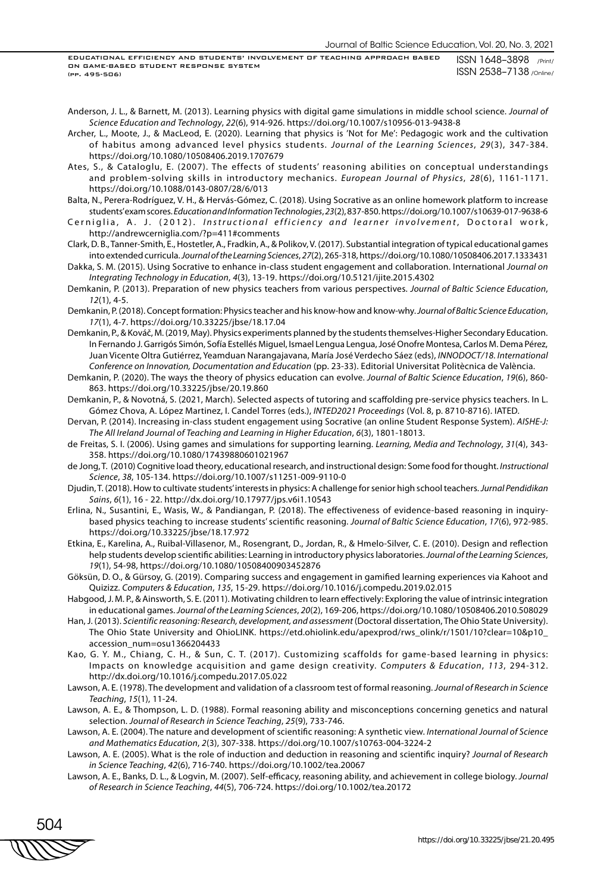Anderson, J. L., & Barnett, M. (2013). Learning physics with digital game simulations in middle school science. *Journal of Science Education and Technology*, *22*(6), 914-926. https://doi.org/10.1007/s10956-013-9438-8

Archer, L., Moote, J., & MacLeod, E. (2020). Learning that physics is 'Not for Me': Pedagogic work and the cultivation of habitus among advanced level physics students. *Journal of the Learning Sciences*, *29*(3), 347-384. https://doi.org/10.1080/10508406.2019.1707679

Ates, S., & Cataloglu, E. (2007). The effects of students' reasoning abilities on conceptual understandings and problem-solving skills in introductory mechanics. *European Journal of Physics*, *28*(6), 1161-1171. https://doi.org/10.1088/0143-0807/28/6/013

Balta, N., Perera-Rodríguez, V. H., & Hervás-Gómez, C. (2018). Using Socrative as an online homework platform to increase students' exam scores. *Education and Information Technologies*, *23*(2), 837-850. https://doi.org/10.1007/s10639-017-9638-6

Cerniglia, A. J. (2012). *Instructional efficiency and learner involvement*, Doctoral work, http://andrewcerniglia.com/?p=411#comments

Clark, D. B., Tanner-Smith, E., Hostetler, A., Fradkin, A., & Polikov, V. (2017). Substantial integration of typical educational games into extended curricula. *Journal of the Learning Sciences*, *27*(2), 265-318, https://doi.org/10.1080/10508406.2017.1333431

- Dakka, S. M. (2015). Using Socrative to enhance in-class student engagement and collaboration. International *Journal on Integrating Technology in Education*, *4*(3), 13-19. https://doi.org/10.5121/ijite.2015.4302
- Demkanin, P. (2013). Preparation of new physics teachers from various perspectives. *Journal of Baltic Science Education*, *12*(1), 4-5.

Demkanin, P. (2018). Concept formation: Physics teacher and his know-how and know-why. *Journal of Baltic Science Education*, *17*(1), 4-7. https://doi.org/10.33225/jbse/18.17.04

- Demkanin, P., & Kováč, M. (2019, May). Physics experiments planned by the students themselves-Higher Secondary Education. In Fernando J. Garrigós Simón, Sofía Estellés Miguel, Ismael Lengua Lengua, José Onofre Montesa, Carlos M. Dema Pérez, Juan Vicente Oltra Gutiérrez, Yeamduan Narangajavana, María José Verdecho Sáez (eds), *INNODOCT/18. International Conference on Innovation, Documentation and Education* (pp. 23-33). Editorial Universitat Politècnica de València.
- Demkanin, P. (2020). The ways the theory of physics education can evolve. *Journal of Baltic Science Education*, *19*(6), 860- 863. https://doi.org/10.33225/jbse/20.19.860
- Demkanin, P., & Novotná, S. (2021, March). Selected aspects of tutoring and scaffolding pre-service physics teachers. In L. Gómez Chova, A. López Martinez, I. Candel Torres (eds.), *INTED2021 Proceedings* (Vol. 8, p. 8710-8716). IATED.

Dervan, P. (2014). Increasing in-class student engagement using Socrative (an online Student Response System). *AISHE-J: The All Ireland Journal of Teaching and Learning in Higher Education*, *6*(3), 1801-18013.

de Freitas, S. I. (2006). Using games and simulations for supporting learning. *Learning, Media and Technology*, *31*(4), 343- 358. https://doi.org/10.1080/17439880601021967

- de Jong, T. (2010) Cognitive load theory, educational research, and instructional design: Some food for thought. *Instructional Science*, *38*, 105-134. https://doi.org/10.1007/s11251-009-9110-0
- Djudin, T. (2018). How to cultivate students' interests in physics: A challenge for senior high school teachers. *Jurnal Pendidikan Sains*, *6*(1), 16 - 22. http://dx.doi.org/10.17977/jps.v6i1.10543
- Erlina, N., Susantini, E., Wasis, W., & Pandiangan, P. (2018). The effectiveness of evidence-based reasoning in inquirybased physics teaching to increase students' scientific reasoning. *Journal of Baltic Science Education*, *17*(6), 972-985. https://doi.org/10.33225/jbse/18.17.972
- Etkina, E., Karelina, A., Ruibal-Villasenor, M., Rosengrant, D., Jordan, R., & Hmelo-Silver, C. E. (2010). Design and reflection help students develop scientific abilities: Learning in introductory physics laboratories. *Journal of the Learning Sciences*, *19*(1), 54-98, https://doi.org/10.1080/10508400903452876
- Göksün, D. O., & Gürsoy, G. (2019). Comparing success and engagement in gamified learning experiences via Kahoot and Quizizz. *Computers & Education*, *135*, 15-29. https://doi.org/10.1016/j.compedu.2019.02.015
- Habgood, J. M. P., & Ainsworth, S. E. (2011). Motivating children to learn effectively: Exploring the value of intrinsic integration in educational games. *Journal of the Learning Sciences*, *20*(2), 169-206, https://doi.org/10.1080/10508406.2010.508029
- Han, J. (2013). *Scientific reasoning: Research, development, and assessment* (Doctoral dissertation, The Ohio State University). The Ohio State University and OhioLINK. https://etd.ohiolink.edu/apexprod/rws\_olink/r/1501/10?clear=10&p10\_ accession\_num=osu1366204433
- Kao, G. Y. M., Chiang, C. H., & Sun, C. T. (2017). Customizing scaffolds for game-based learning in physics: Impacts on knowledge acquisition and game design creativity. *Computers & Education*, *113*, 294-312. http://dx.doi.org/10.1016/j.compedu.2017.05.022
- Lawson, A. E. (1978). The development and validation of a classroom test of formal reasoning. *Journal of Research in Science Teaching*, *15*(1), 11-24.
- Lawson, A. E., & Thompson, L. D. (1988). Formal reasoning ability and misconceptions concerning genetics and natural selection. *Journal of Research in Science Teaching*, *25*(9), 733-746.
- Lawson, A. E. (2004). The nature and development of scientific reasoning: A synthetic view. *International Journal of Science and Mathematics Education*, *2*(3), 307-338. https://doi.org/10.1007/s10763-004-3224-2
- Lawson, A. E. (2005). What is the role of induction and deduction in reasoning and scientific inquiry? *Journal of Research in Science Teaching*, *42*(6), 716-740. https://doi.org/10.1002/tea.20067
- Lawson, A. E., Banks, D. L., & Logvin, M. (2007). Self-efficacy, reasoning ability, and achievement in college biology. *Journal of Research in Science Teaching*, *44*(5), 706-724. https://doi.org/10.1002/tea.20172

504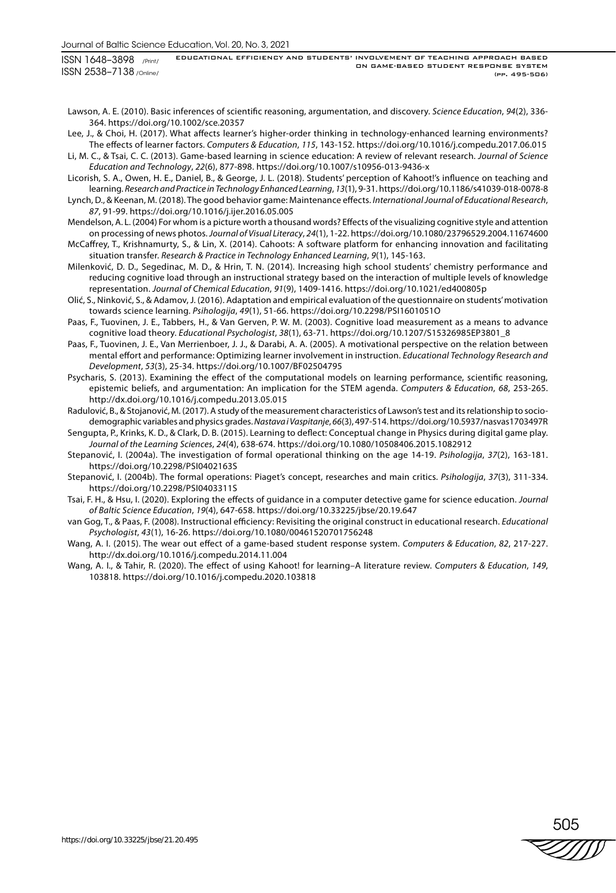Lawson, A. E. (2010). Basic inferences of scientific reasoning, argumentation, and discovery. *Science Education*, *94*(2), 336- 364. https://doi.org/10.1002/sce.20357

- Lee, J., & Choi, H. (2017). What affects learner's higher-order thinking in technology-enhanced learning environments? The effects of learner factors. *Computers & Education*, *115*, 143-152. https://doi.org/10.1016/j.compedu.2017.06.015
- Li, M. C., & Tsai, C. C. (2013). Game-based learning in science education: A review of relevant research. *Journal of Science Education and Technology*, *22*(6), 877-898. https://doi.org/10.1007/s10956-013-9436-x

Licorish, S. A., Owen, H. E., Daniel, B., & George, J. L. (2018). Students' perception of Kahoot!'s influence on teaching and learning. *Research and Practice in Technology Enhanced Learning*, *13*(1), 9-31. https://doi.org/10.1186/s41039-018-0078-8

- Lynch, D., & Keenan, M. (2018). The good behavior game: Maintenance effects. *International Journal of Educational Research*, *87*, 91-99. https://doi.org/10.1016/j.ijer.2016.05.005
- Mendelson, A. L. (2004) For whom is a picture worth a thousand words? Effects of the visualizing cognitive style and attention on processing of news photos. *Journal of Visual Literacy*, *24*(1), 1-22. https://doi.org/10.1080/23796529.2004.11674600 McCaffrey, T., Krishnamurty, S., & Lin, X. (2014). Cahoots: A software platform for enhancing innovation and facilitating situation transfer. *Research & Practice in Technology Enhanced Learning*, *9*(1), 145-163.
- Milenković, D. D., Segedinac, M. D., & Hrin, T. N. (2014). Increasing high school students' chemistry performance and reducing cognitive load through an instructional strategy based on the interaction of multiple levels of knowledge representation. *Journal of Chemical Education*, *91*(9), 1409-1416. https://doi.org/10.1021/ed400805p
- Olić, S., Ninković, S., & Adamov, J. (2016). Adaptation and empirical evaluation of the questionnaire on students' motivation towards science learning. *Psihologija*, *49*(1), 51-66. https://doi.org/10.2298/PSI1601051O
- Paas, F., Tuovinen, J. E., Tabbers, H., & Van Gerven, P. W. M. (2003). Cognitive load measurement as a means to advance cognitive load theory. *Educational Psychologist*, *38*(1), 63-71. https://doi.org/10.1207/S15326985EP3801\_8
- Paas, F., Tuovinen, J. E., Van Merrienboer, J. J., & Darabi, A. A. (2005). A motivational perspective on the relation between mental effort and performance: Optimizing learner involvement in instruction. *Educational Technology Research and Development*, *53*(3), 25-34. https://doi.org/10.1007/BF02504795
- Psycharis, S. (2013). Examining the effect of the computational models on learning performance, scientific reasoning, epistemic beliefs, and argumentation: An implication for the STEM agenda. *Computers & Education*, *68*, 253-265. http://dx.doi.org/10.1016/j.compedu.2013.05.015

Radulović, B., & Stojanović, M. (2017). A study of the measurement characteristics of Lawson's test and its relationship to sociodemographic variables and physics grades. *Nastava i Vaspitanje*, *66*(3), 497-514. https://doi.org/10.5937/nasvas1703497R

Sengupta, P., Krinks, K. D., & Clark, D. B. (2015). Learning to deflect: Conceptual change in Physics during digital game play. *Journal of the Learning Sciences*, *24*(4), 638-674. https://doi.org/10.1080/10508406.2015.1082912

- Stеpаnоvić, I. (2004а). The investigation of formal operational thinking on the age 14-19. *Psihоlоgiја*, *37*(2), 163-181. https://doi.org/10.2298/PSI0402163S
- Stеpаnоvić, I. (2004b). The formal operations: Piaget's concept, researches and main critics. *Psihоlоgiја*, *37*(3), 311-334. https://doi.org/10.2298/PSI0403311S
- Tsai, F. H., & Hsu, I. (2020). Exploring the effects of guidance in a computer detective game for science education. *Journal of Baltic Science Education*, *19*(4), 647-658. https://doi.org/10.33225/jbse/20.19.647
- van Gog, T., & Paas, F. (2008). Instructional efficiency: Revisiting the original construct in educational research. *Educational Psychologist*, *43*(1), 16-26. https://doi.org/10.1080/00461520701756248
- Wang, A. I. (2015). The wear out effect of a game-based student response system. *Computers & Education*, *82*, 217-227. http://dx.doi.org/10.1016/j.compedu.2014.11.004
- Wang, A. I., & Tahir, R. (2020). The effect of using Kahoot! for learning–A literature review. *Computers & Education*, *149*, 103818. https://doi.org/10.1016/j.compedu.2020.103818

505